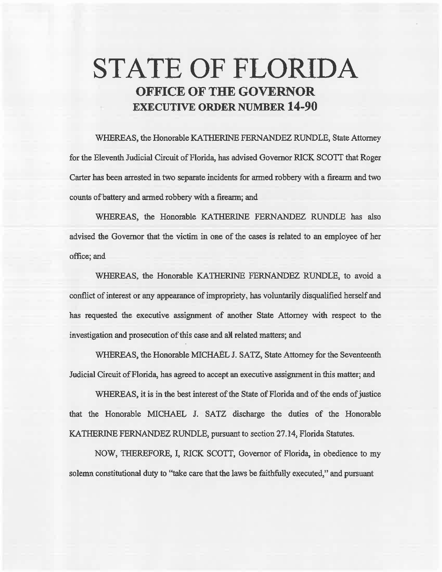# **STATE OF FLORIDA OFFICE OF THE GOVERNOR EXECUTIVE ORDER NUMBER 14-90**

WHEREAS, the Honorable KATHERINE FERNANDEZ RUNDLE, State Attorney for the Eleventh Judicial Circuit of Florida, has advised Governor RICK SCOTI that Roger Carter has been arrested in two separate incidents for armed robbery with a firearm and two counts of battery and armed robbery with a firearm; and

WHEREAS, the Honorable KATHERINE FERNANDEZ RUNDLE has also advised the Governor that the victim in one of the cases is related to an employee of her office; and

WHEREAS, the Honorable KATHERINE FERNANDEZ RUNDLE, to avoid a conflict of interest or any appearance of impropriety, has voluntarily disqualified herself and has requested the executive assignment of another State Attorney with respect to the investigation and prosecution of this case and all related matters; and

WHEREAS, the Honorable MICHAEL J. SATZ, State Attorney for the Seventeenth Judicial Circuit of Florida, has agreed to accept an executive assignment in this matter; and

WHEREAS, it is in the best interest of the State of Florida and of the ends of justice that the Honorable MICHAEL J. SATZ discharge the duties of the Honorable KATHERINE FERNANDEZ RUNDLE, pursuant to section 27.14, Florida Statutes.

NOW, THEREFORE, I, RICK SCOTI, Governor of Florida, in obedience to my solemn constitutional duty to "take care that the laws be faithfully executed," and pursuant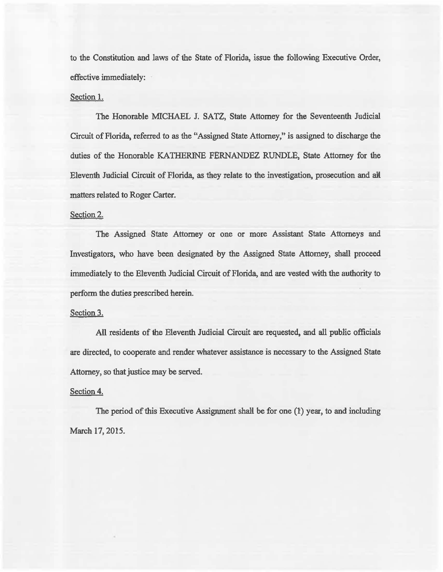to the Constitution and laws of the State of Florida, issue the foNowing Executive Order, effective immediately:

## Section 1.

The Honorable MICHAEL J. SATZ, State Attorney for the Seventeenth. Judicial Circuit of Florida, referred to as the "Assigned State Attorney," is assigned to discharge the duties of the Honorable KATHERINE FERNANDEZ RUNDLE, State Attorney for 1he Eleventh Judicial Circuit of Florida, as they relate to 1he investigation, prosecution and alt matters related to Roger Carter.

## Section 2.

The Assigned State Attorney or one or more Assistant State Attorneys and Investigators, who have been designated by the Assigned State Attorney, shall proceed immediately to the Eleventh Judicial Circuit of Florida, and are vested with the authority to perform the duties prescribed herein.

### Section 3.

All residents of the Eleventh Judicial Circuit are requested, and all public officials are directed, to cooperate and render whatever assistance is necessary to the Assigned State Attorney, so that justice may be served.

### Section 4.

The period of this Executive Assignment shall be for one (1) year, to and including March 17, 2015.